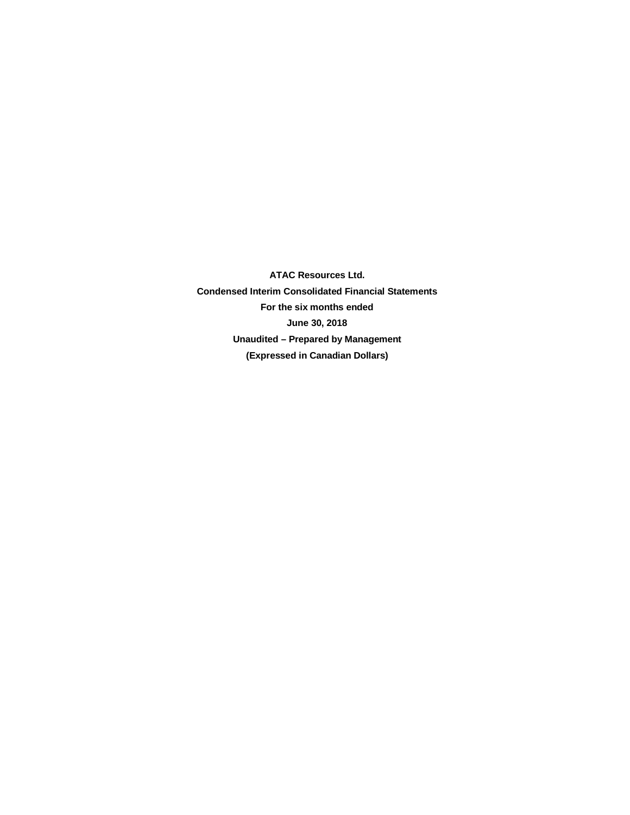**ATAC Resources Ltd. Condensed Interim Consolidated Financial Statements For the six months ended June 30, 2018 Unaudited – Prepared by Management (Expressed in Canadian Dollars)**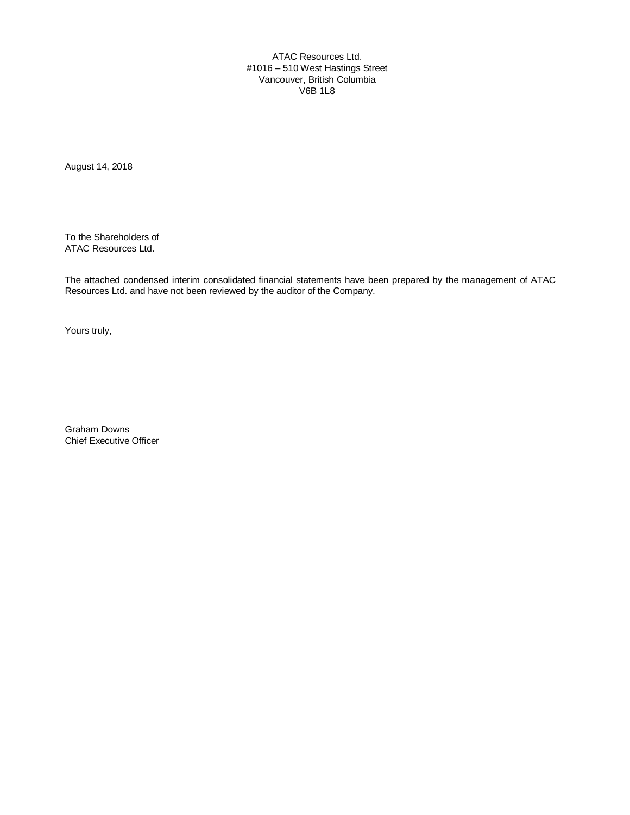ATAC Resources Ltd. #1016 – 510 West Hastings Street Vancouver, British Columbia V6B 1L8

August 14, 2018

To the Shareholders of ATAC Resources Ltd.

The attached condensed interim consolidated financial statements have been prepared by the management of ATAC Resources Ltd. and have not been reviewed by the auditor of the Company.

Yours truly,

Graham Downs Chief Executive Officer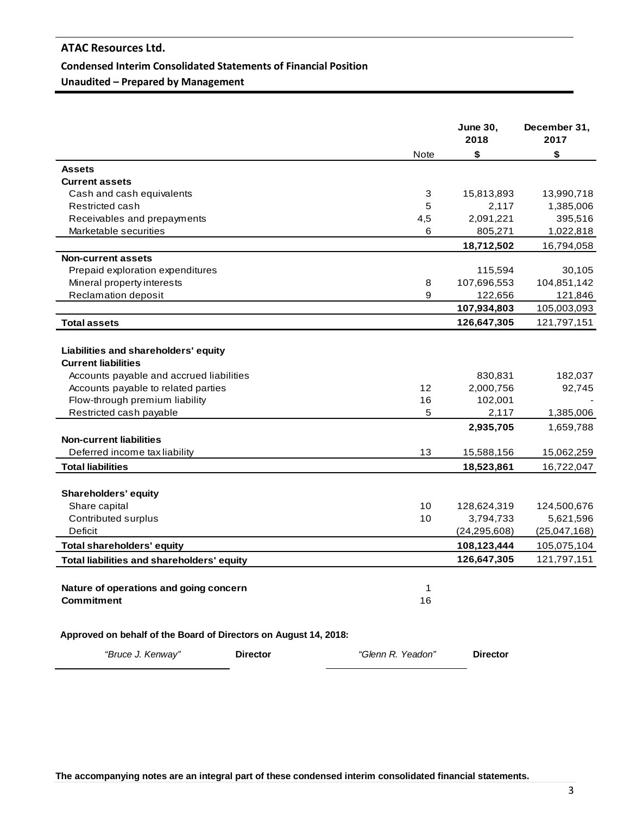### **Condensed Interim Consolidated Statements of Financial Position**

**Unaudited – Prepared by Management**

|                                                                  |                   | <b>June 30,</b><br>2018 | December 31,<br>2017 |
|------------------------------------------------------------------|-------------------|-------------------------|----------------------|
|                                                                  | <b>Note</b>       | \$                      | \$                   |
| <b>Assets</b>                                                    |                   |                         |                      |
| <b>Current assets</b>                                            |                   |                         |                      |
| Cash and cash equivalents                                        | 3                 | 15,813,893              | 13,990,718           |
| Restricted cash                                                  | 5                 | 2,117                   | 1,385,006            |
| Receivables and prepayments                                      | 4,5               | 2,091,221               | 395,516              |
| Marketable securities                                            | 6                 | 805,271                 | 1,022,818            |
|                                                                  |                   | 18,712,502              | 16,794,058           |
| <b>Non-current assets</b>                                        |                   |                         |                      |
| Prepaid exploration expenditures                                 |                   | 115,594                 | 30,105               |
| Mineral property interests                                       | 8                 | 107,696,553             | 104,851,142          |
| Reclamation deposit                                              | 9                 | 122,656                 | 121,846              |
|                                                                  |                   | 107,934,803             | 105,003,093          |
| <b>Total assets</b>                                              |                   | 126,647,305             | 121,797,151          |
|                                                                  |                   |                         |                      |
| Liabilities and shareholders' equity                             |                   |                         |                      |
| <b>Current liabilities</b>                                       |                   |                         |                      |
| Accounts payable and accrued liabilities                         |                   | 830,831                 | 182,037              |
| Accounts payable to related parties                              | 12                | 2,000,756               | 92,745               |
| Flow-through premium liability                                   | 16                | 102,001                 |                      |
| Restricted cash payable                                          | 5                 | 2,117                   | 1,385,006            |
|                                                                  |                   | 2,935,705               | 1,659,788            |
| <b>Non-current liabilities</b>                                   |                   |                         |                      |
| Deferred income tax liability                                    | 13                | 15,588,156              | 15,062,259           |
| Total liabilities                                                |                   | 18,523,861              | 16,722,047           |
|                                                                  |                   |                         |                      |
| <b>Shareholders' equity</b>                                      |                   |                         |                      |
| Share capital                                                    | 10                | 128,624,319             | 124,500,676          |
| Contributed surplus                                              | 10                | 3,794,733               | 5,621,596            |
| <b>Deficit</b>                                                   |                   | (24, 295, 608)          | (25,047,168)         |
| <b>Total shareholders' equity</b>                                |                   | 108,123,444             | 105,075,104          |
| Total liabilities and shareholders' equity                       |                   | 126,647,305             | 121,797,151          |
|                                                                  |                   |                         |                      |
|                                                                  |                   |                         |                      |
| Nature of operations and going concern                           | 1                 |                         |                      |
| <b>Commitment</b>                                                | 16                |                         |                      |
| Approved on behalf of the Board of Directors on August 14, 2018: |                   |                         |                      |
| "Bruce J. Kenway"<br><b>Director</b>                             | "Glenn R. Yeadon" | <b>Director</b>         |                      |
|                                                                  |                   |                         |                      |

**The accompanying notes are an integral part of these condensed interim consolidated financial statements.**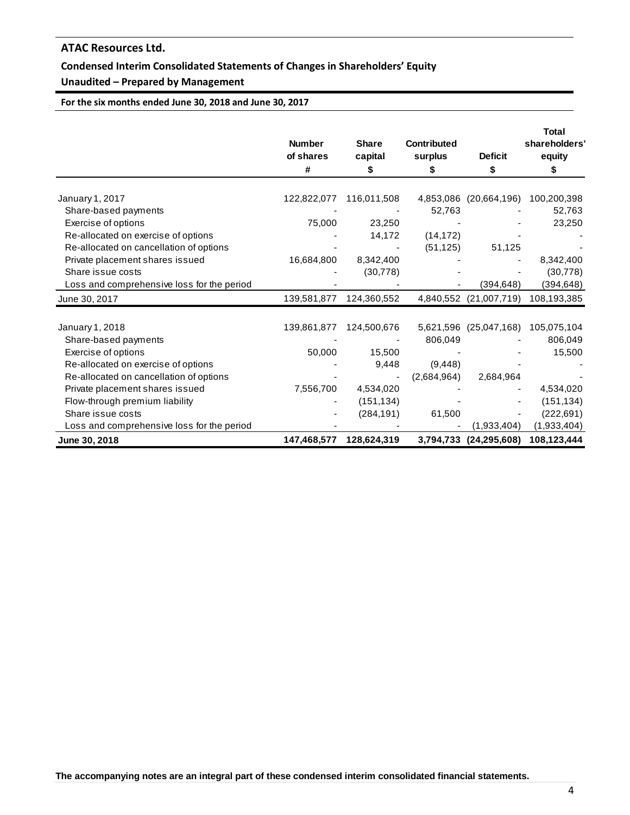## **Condensed Interim Consolidated Statements of Changes in Shareholders' Equity**

## **Unaudited – Prepared by Management**

**For the six months ended June 30, 2018 and June 30, 2017**

|                                                            | <b>Number</b><br>of shares<br># | <b>Share</b><br>capital<br>\$ | <b>Contributed</b><br>surplus<br>S | <b>Deficit</b><br>\$   | <b>Total</b><br>shareholders'<br>equity<br>S |
|------------------------------------------------------------|---------------------------------|-------------------------------|------------------------------------|------------------------|----------------------------------------------|
|                                                            |                                 |                               |                                    |                        |                                              |
| January 1, 2017                                            | 122,822,077                     | 116,011,508                   | 4,853,086                          | (20,664,196)           | 100,200,398                                  |
| Share-based payments                                       |                                 |                               | 52,763                             |                        | 52,763                                       |
| Exercise of options<br>Re-allocated on exercise of options | 75,000                          | 23,250<br>14,172              | (14, 172)                          |                        | 23,250                                       |
| Re-allocated on cancellation of options                    |                                 |                               | (51, 125)                          | 51,125                 |                                              |
| Private placement shares issued                            | 16,684,800                      | 8,342,400                     |                                    |                        | 8,342,400                                    |
| Share issue costs                                          |                                 | (30, 778)                     |                                    |                        | (30, 778)                                    |
| Loss and comprehensive loss for the period                 |                                 |                               |                                    | (394, 648)             | (394, 648)                                   |
|                                                            |                                 | 124,360,552                   |                                    | 4,840,552 (21,007,719) | 108,193,385                                  |
| June 30, 2017                                              | 139,581,877                     |                               |                                    |                        |                                              |
| January 1, 2018                                            | 139,861,877                     | 124,500,676                   |                                    | 5,621,596 (25,047,168) | 105,075,104                                  |
| Share-based payments                                       |                                 |                               | 806,049                            |                        | 806,049                                      |
| Exercise of options                                        | 50,000                          | 15,500                        |                                    |                        | 15,500                                       |
| Re-allocated on exercise of options                        |                                 | 9,448                         | (9, 448)                           |                        |                                              |
| Re-allocated on cancellation of options                    |                                 |                               | (2,684,964)                        | 2,684,964              |                                              |
| Private placement shares issued                            | 7,556,700                       | 4,534,020                     |                                    |                        | 4,534,020                                    |
| Flow-through premium liability                             |                                 | (151, 134)                    |                                    |                        | (151, 134)                                   |
| Share issue costs                                          |                                 | (284, 191)                    | 61,500                             |                        | (222, 691)                                   |
| Loss and comprehensive loss for the period                 |                                 |                               |                                    | (1,933,404)            | (1,933,404)                                  |
| June 30, 2018                                              | 147,468,577                     | 128,624,319                   | 3,794,733                          | (24, 295, 608)         | 108,123,444                                  |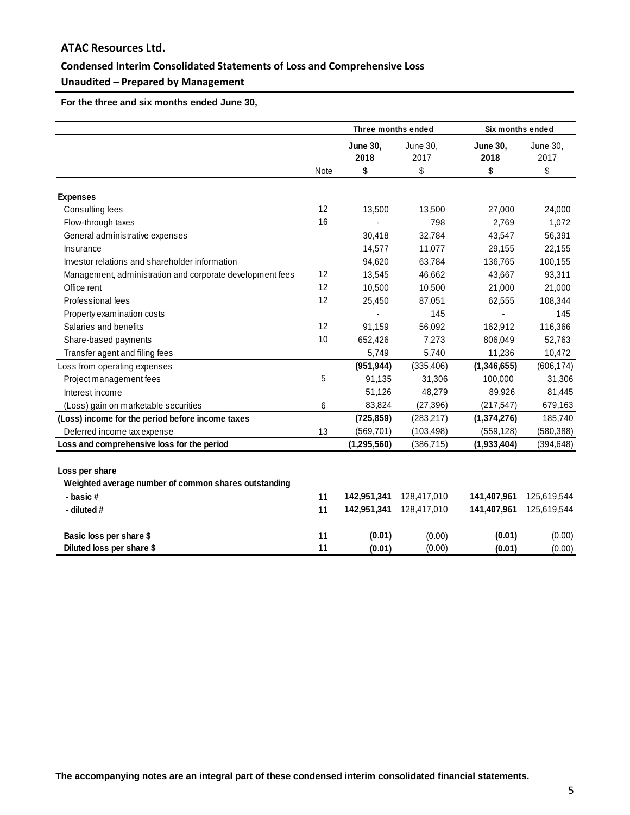## **Condensed Interim Consolidated Statements of Loss and Comprehensive Loss**

## **Unaudited – Prepared by Management**

 **For the three and six months ended June 30,** 

|                                                                        |      | Three months ended            |                        | Six months ended              |                        |
|------------------------------------------------------------------------|------|-------------------------------|------------------------|-------------------------------|------------------------|
|                                                                        | Note | <b>June 30,</b><br>2018<br>\$ | June 30,<br>2017<br>\$ | <b>June 30,</b><br>2018<br>\$ | June 30,<br>2017<br>\$ |
|                                                                        |      |                               |                        |                               |                        |
| <b>Expenses</b>                                                        |      |                               |                        |                               |                        |
| Consulting fees                                                        | 12   | 13,500                        | 13,500                 | 27,000                        | 24,000                 |
| Flow-through taxes                                                     | 16   |                               | 798                    | 2,769                         | 1,072                  |
| General administrative expenses                                        |      | 30,418                        | 32,784                 | 43,547                        | 56,391                 |
| Insurance                                                              |      | 14,577                        | 11,077                 | 29,155                        | 22,155                 |
| Investor relations and shareholder information                         |      | 94,620                        | 63,784                 | 136,765                       | 100,155                |
| Management, administration and corporate development fees              | 12   | 13,545                        | 46,662                 | 43,667                        | 93,311                 |
| Office rent                                                            | 12   | 10,500                        | 10,500                 | 21,000                        | 21,000                 |
| Professional fees                                                      | 12   | 25,450                        | 87,051                 | 62,555                        | 108,344                |
| Property examination costs                                             |      |                               | 145                    |                               | 145                    |
| Salaries and benefits                                                  | 12   | 91,159                        | 56,092                 | 162,912                       | 116,366                |
| Share-based payments                                                   | 10   | 652,426                       | 7,273                  | 806,049                       | 52,763                 |
| Transfer agent and filing fees                                         |      | 5,749                         | 5,740                  | 11,236                        | 10,472                 |
| Loss from operating expenses                                           |      | (951, 944)                    | (335, 406)             | (1,346,655)                   | (606, 174)             |
| Project management fees                                                | 5    | 91,135                        | 31,306                 | 100,000                       | 31,306                 |
| Interest income                                                        |      | 51,126                        | 48,279                 | 89,926                        | 81,445                 |
| (Loss) gain on marketable securities                                   | 6    | 83,824                        | (27, 396)              | (217, 547)                    | 679,163                |
| (Loss) income for the period before income taxes                       |      | (725, 859)                    | (283, 217)             | (1,374,276)                   | 185,740                |
| Deferred income tax expense                                            | 13   | (569, 701)                    | (103, 498)             | (559, 128)                    | (580, 388)             |
| Loss and comprehensive loss for the period                             |      | (1, 295, 560)                 | (386, 715)             | (1,933,404)                   | (394, 648)             |
| Loss per share<br>Weighted average number of common shares outstanding |      |                               |                        |                               |                        |
| - basic#                                                               | 11   | 142,951,341                   | 128,417,010            | 141,407,961                   | 125,619,544            |
| - diluted #                                                            | 11   | 142,951,341                   | 128,417,010            | 141,407,961                   | 125,619,544            |
| Basic loss per share \$                                                | 11   | (0.01)                        | (0.00)                 | (0.01)                        | (0.00)                 |
| Diluted loss per share \$                                              | 11   | (0.01)                        | (0.00)                 | (0.01)                        | (0.00)                 |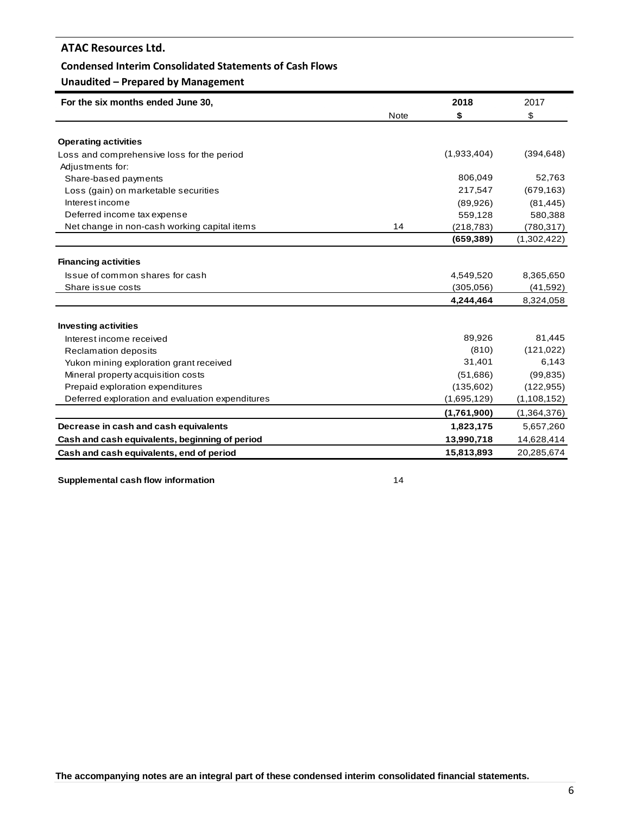### **Condensed Interim Consolidated Statements of Cash Flows**

## **Unaudited – Prepared by Management**

| For the six months ended June 30,                |             | 2018        | 2017        |
|--------------------------------------------------|-------------|-------------|-------------|
|                                                  | <b>Note</b> | \$          | \$          |
|                                                  |             |             |             |
| <b>Operating activities</b>                      |             |             |             |
| Loss and comprehensive loss for the period       |             | (1,933,404) | (394, 648)  |
| Adjustments for:                                 |             |             |             |
| Share-based payments                             |             | 806,049     | 52,763      |
| Loss (gain) on marketable securities             |             | 217,547     | (679, 163)  |
| Interest income                                  |             | (89,926)    | (81, 445)   |
| Deferred income tax expense                      |             | 559,128     | 580,388     |
| Net change in non-cash working capital items     | 14          | (218, 783)  | (780, 317)  |
|                                                  |             | (659, 389)  | (1,302,422) |
| <b>Financing activities</b>                      |             |             |             |
| Issue of common shares for cash                  |             | 4,549,520   | 8,365,650   |
| Share issue costs                                |             | (305,056)   | (41, 592)   |
|                                                  |             | 4,244,464   | 8,324,058   |
| <b>Investing activities</b>                      |             |             |             |
| Interest income received                         |             | 89,926      | 81,445      |
| Reclamation deposits                             |             | (810)       | (121, 022)  |
| Yukon mining exploration grant received          |             | 31,401      | 6,143       |
| Mineral property acquisition costs               |             | (51,686)    | (99, 835)   |
| Prepaid exploration expenditures                 |             | (135,602)   | (122, 955)  |
| Deferred exploration and evaluation expenditures |             | (1,695,129) | (1,108,152) |
|                                                  |             | (1,761,900) | (1,364,376) |
| Decrease in cash and cash equivalents            |             | 1,823,175   | 5,657,260   |
| Cash and cash equivalents, beginning of period   |             | 13,990,718  | 14,628,414  |
| Cash and cash equivalents, end of period         |             | 15,813,893  | 20,285,674  |

**Supplemental cash flow information** 14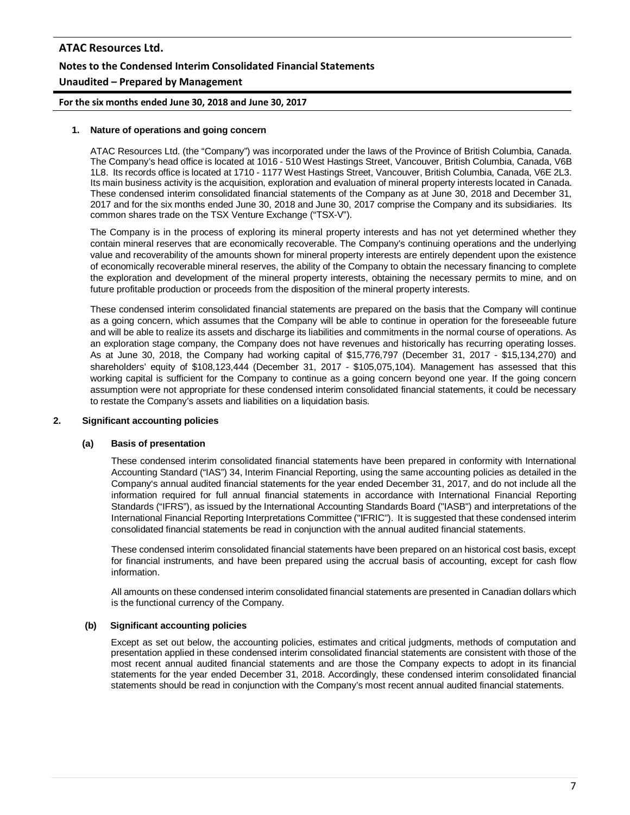# **ATAC Resources Ltd. Notes to the Condensed Interim Consolidated Financial Statements Unaudited – Prepared by Management**

**For the six months ended June 30, 2018 and June 30, 2017**

### **1. Nature of operations and going concern**

ATAC Resources Ltd. (the "Company") was incorporated under the laws of the Province of British Columbia, Canada. The Company's head office is located at 1016 - 510 West Hastings Street, Vancouver, British Columbia, Canada, V6B 1L8. Its records office is located at 1710 - 1177 West Hastings Street, Vancouver, British Columbia, Canada, V6E 2L3. Its main business activity is the acquisition, exploration and evaluation of mineral property interests located in Canada. These condensed interim consolidated financial statements of the Company as at June 30, 2018 and December 31, 2017 and for the six months ended June 30, 2018 and June 30, 2017 comprise the Company and its subsidiaries. Its common shares trade on the TSX Venture Exchange ("TSX-V").

The Company is in the process of exploring its mineral property interests and has not yet determined whether they contain mineral reserves that are economically recoverable. The Company's continuing operations and the underlying value and recoverability of the amounts shown for mineral property interests are entirely dependent upon the existence of economically recoverable mineral reserves, the ability of the Company to obtain the necessary financing to complete the exploration and development of the mineral property interests, obtaining the necessary permits to mine, and on future profitable production or proceeds from the disposition of the mineral property interests.

These condensed interim consolidated financial statements are prepared on the basis that the Company will continue as a going concern, which assumes that the Company will be able to continue in operation for the foreseeable future and will be able to realize its assets and discharge its liabilities and commitments in the normal course of operations. As an exploration stage company, the Company does not have revenues and historically has recurring operating losses. As at June 30, 2018, the Company had working capital of \$15,776,797 (December 31, 2017 - \$15,134,270) and shareholders' equity of \$108,123,444 (December 31, 2017 - \$105,075,104). Management has assessed that this working capital is sufficient for the Company to continue as a going concern beyond one year. If the going concern assumption were not appropriate for these condensed interim consolidated financial statements, it could be necessary to restate the Company's assets and liabilities on a liquidation basis.

### **2. Significant accounting policies**

#### **(a) Basis of presentation**

These condensed interim consolidated financial statements have been prepared in conformity with International Accounting Standard ("IAS") 34, Interim Financial Reporting, using the same accounting policies as detailed in the Company's annual audited financial statements for the year ended December 31, 2017, and do not include all the information required for full annual financial statements in accordance with International Financial Reporting Standards ("IFRS"), as issued by the International Accounting Standards Board ("IASB") and interpretations of the International Financial Reporting Interpretations Committee ("IFRIC"). It is suggested that these condensed interim consolidated financial statements be read in conjunction with the annual audited financial statements.

These condensed interim consolidated financial statements have been prepared on an historical cost basis, except for financial instruments, and have been prepared using the accrual basis of accounting, except for cash flow information.

All amounts on these condensed interim consolidated financial statements are presented in Canadian dollars which is the functional currency of the Company.

#### **(b) Significant accounting policies**

Except as set out below, the accounting policies, estimates and critical judgments, methods of computation and presentation applied in these condensed interim consolidated financial statements are consistent with those of the most recent annual audited financial statements and are those the Company expects to adopt in its financial statements for the year ended December 31, 2018. Accordingly, these condensed interim consolidated financial statements should be read in conjunction with the Company's most recent annual audited financial statements.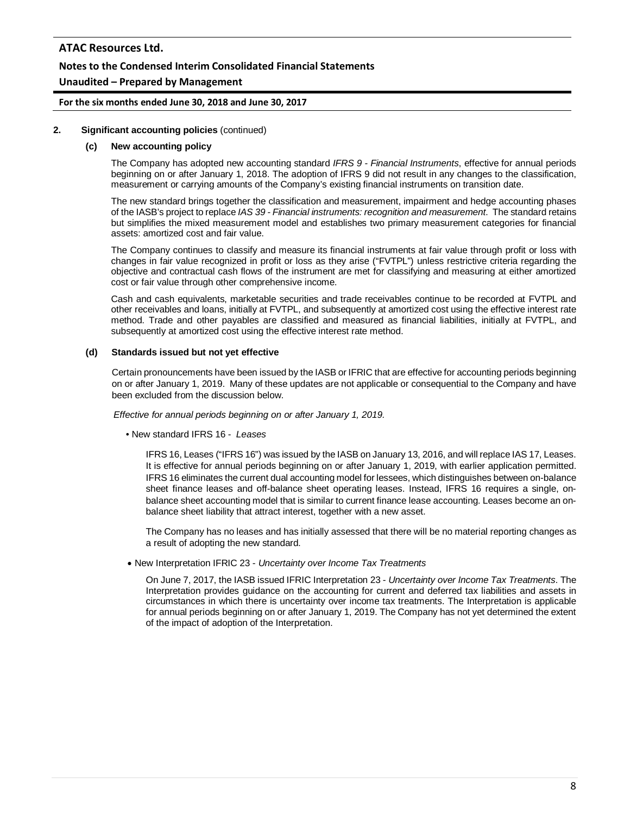### **Notes to the Condensed Interim Consolidated Financial Statements**

### **Unaudited – Prepared by Management**

**For the six months ended June 30, 2018 and June 30, 2017**

#### **2. Significant accounting policies** (continued)

#### **(c) New accounting policy**

The Company has adopted new accounting standard *IFRS 9 - Financial Instruments*, effective for annual periods beginning on or after January 1, 2018. The adoption of IFRS 9 did not result in any changes to the classification, measurement or carrying amounts of the Company's existing financial instruments on transition date.

The new standard brings together the classification and measurement, impairment and hedge accounting phases of the IASB's project to replace *IAS 39 - Financial instruments: recognition and measurement*. The standard retains but simplifies the mixed measurement model and establishes two primary measurement categories for financial assets: amortized cost and fair value.

The Company continues to classify and measure its financial instruments at fair value through profit or loss with changes in fair value recognized in profit or loss as they arise ("FVTPL") unless restrictive criteria regarding the objective and contractual cash flows of the instrument are met for classifying and measuring at either amortized cost or fair value through other comprehensive income.

Cash and cash equivalents, marketable securities and trade receivables continue to be recorded at FVTPL and other receivables and loans, initially at FVTPL, and subsequently at amortized cost using the effective interest rate method. Trade and other payables are classified and measured as financial liabilities, initially at FVTPL, and subsequently at amortized cost using the effective interest rate method.

#### **(d) Standards issued but not yet effective**

Certain pronouncements have been issued by the IASB or IFRIC that are effective for accounting periods beginning on or after January 1, 2019. Many of these updates are not applicable or consequential to the Company and have been excluded from the discussion below.

*Effective for annual periods beginning on or after January 1, 2019.*

• New standard IFRS 16 - *Leases*

IFRS 16, Leases ("IFRS 16") was issued by the IASB on January 13, 2016, and will replace IAS 17, Leases. It is effective for annual periods beginning on or after January 1, 2019, with earlier application permitted. IFRS 16 eliminates the current dual accounting model for lessees, which distinguishes between on-balance sheet finance leases and off-balance sheet operating leases. Instead, IFRS 16 requires a single, onbalance sheet accounting model that is similar to current finance lease accounting. Leases become an onbalance sheet liability that attract interest, together with a new asset.

The Company has no leases and has initially assessed that there will be no material reporting changes as a result of adopting the new standard.

• New Interpretation IFRIC 23 - *Uncertainty over Income Tax Treatments*

On June 7, 2017, the IASB issued IFRIC Interpretation 23 - *Uncertainty over Income Tax Treatments*. The Interpretation provides guidance on the accounting for current and deferred tax liabilities and assets in circumstances in which there is uncertainty over income tax treatments. The Interpretation is applicable for annual periods beginning on or after January 1, 2019. The Company has not yet determined the extent of the impact of adoption of the Interpretation.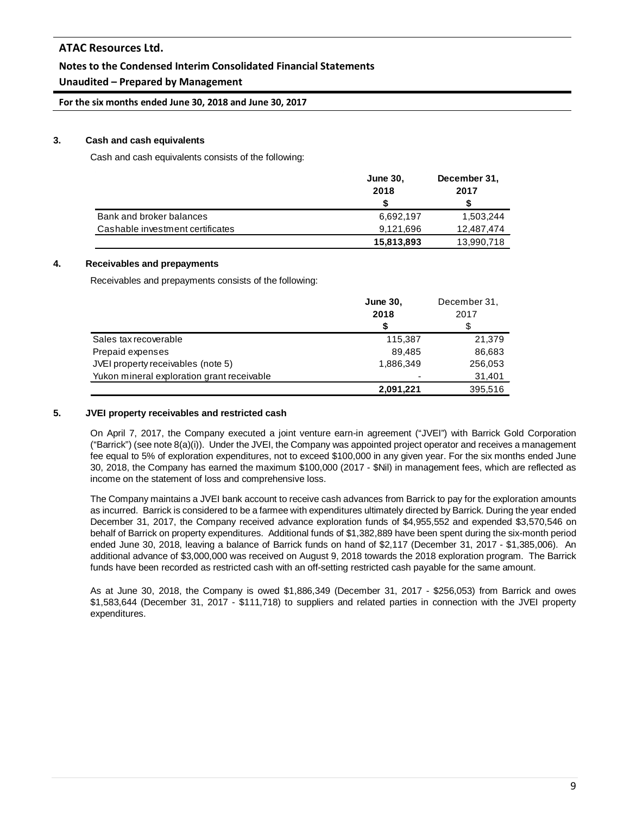## **Notes to the Condensed Interim Consolidated Financial Statements**

## **Unaudited – Prepared by Management**

**For the six months ended June 30, 2018 and June 30, 2017**

### **3. Cash and cash equivalents**

Cash and cash equivalents consists of the following:

|                                  | <b>June 30,</b> | December 31, |
|----------------------------------|-----------------|--------------|
|                                  | 2018            | 2017         |
|                                  |                 |              |
| Bank and broker balances         | 6,692,197       | 1,503,244    |
| Cashable investment certificates | 9,121,696       | 12.487.474   |
|                                  | 15,813,893      | 13,990,718   |

### **4. Receivables and prepayments**

Receivables and prepayments consists of the following:

|                                            | <b>June 30,</b> | December 31, |
|--------------------------------------------|-----------------|--------------|
|                                            | 2018            | 2017         |
|                                            | S               | S            |
| Sales tax recoverable                      | 115,387         | 21,379       |
| Prepaid expenses                           | 89.485          | 86,683       |
| JVEI property receivables (note 5)         | 1,886,349       | 256,053      |
| Yukon mineral exploration grant receivable |                 | 31,401       |
|                                            | 2,091,221       | 395,516      |

### **5. JVEI property receivables and restricted cash**

On April 7, 2017, the Company executed a joint venture earn-in agreement ("JVEI") with Barrick Gold Corporation ("Barrick") (see note  $8(a)(i)$ ). Under the JVEI, the Company was appointed project operator and receives a management fee equal to 5% of exploration expenditures, not to exceed \$100,000 in any given year. For the six months ended June 30, 2018, the Company has earned the maximum \$100,000 (2017 - \$Nil) in management fees, which are reflected as income on the statement of loss and comprehensive loss.

The Company maintains a JVEI bank account to receive cash advances from Barrick to pay for the exploration amounts as incurred. Barrick is considered to be a farmee with expenditures ultimately directed by Barrick. During the year ended December 31, 2017, the Company received advance exploration funds of \$4,955,552 and expended \$3,570,546 on behalf of Barrick on property expenditures. Additional funds of \$1,382,889 have been spent during the six-month period ended June 30, 2018, leaving a balance of Barrick funds on hand of \$2,117 (December 31, 2017 - \$1,385,006). An additional advance of \$3,000,000 was received on August 9, 2018 towards the 2018 exploration program. The Barrick funds have been recorded as restricted cash with an off-setting restricted cash payable for the same amount.

As at June 30, 2018, the Company is owed \$1,886,349 (December 31, 2017 - \$256,053) from Barrick and owes \$1,583,644 (December 31, 2017 - \$111,718) to suppliers and related parties in connection with the JVEI property expenditures.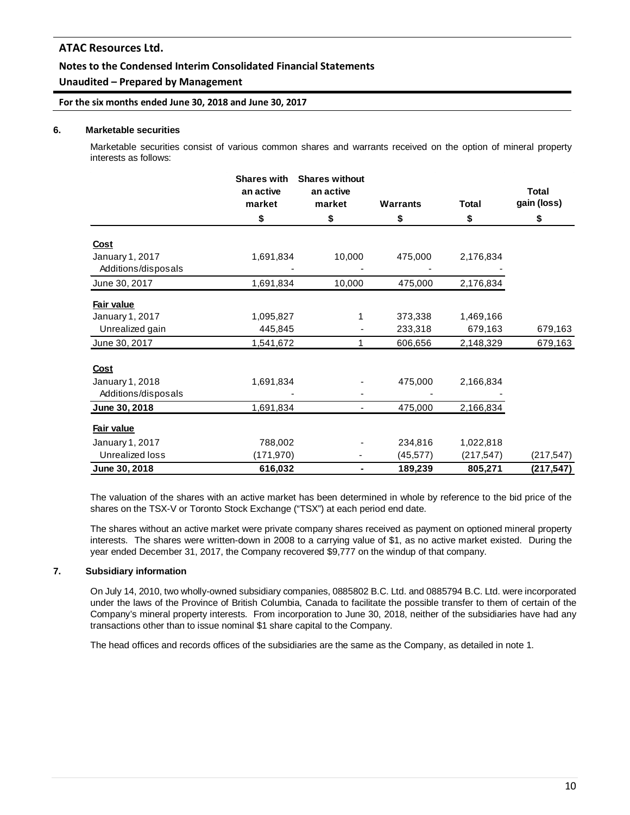### **Notes to the Condensed Interim Consolidated Financial Statements**

## **Unaudited – Prepared by Management**

**For the six months ended June 30, 2018 and June 30, 2017**

### **6. Marketable securities**

Marketable securities consist of various common shares and warrants received on the option of mineral property interests as follows:

|                     | <b>Shares with</b><br>an active<br>market | <b>Shares without</b><br>an active<br>market | <b>Warrants</b> | <b>Total</b> | <b>Total</b><br>gain (loss) |
|---------------------|-------------------------------------------|----------------------------------------------|-----------------|--------------|-----------------------------|
|                     | \$                                        | \$                                           | \$              | \$           | \$                          |
|                     |                                           |                                              |                 |              |                             |
| <u>Cost</u>         |                                           |                                              |                 |              |                             |
| January 1, 2017     | 1,691,834                                 | 10,000                                       | 475,000         | 2,176,834    |                             |
| Additions/disposals |                                           |                                              |                 |              |                             |
| June 30, 2017       | 1,691,834                                 | 10,000                                       | 475,000         | 2,176,834    |                             |
| Fair value          |                                           |                                              |                 |              |                             |
| January 1, 2017     | 1,095,827                                 | 1                                            | 373,338         | 1,469,166    |                             |
| Unrealized gain     | 445,845                                   |                                              | 233,318         | 679,163      | 679,163                     |
| June 30, 2017       | 1,541,672                                 | 1                                            | 606,656         | 2,148,329    | 679,163                     |
| Cost                |                                           |                                              |                 |              |                             |
| January 1, 2018     | 1,691,834                                 |                                              | 475,000         | 2,166,834    |                             |
| Additions/disposals |                                           |                                              |                 |              |                             |
| June 30, 2018       | 1,691,834                                 | -                                            | 475,000         | 2,166,834    |                             |
| Fair value          |                                           |                                              |                 |              |                             |
| January 1, 2017     | 788,002                                   |                                              | 234,816         | 1,022,818    |                             |
| Unrealized loss     | (171, 970)                                |                                              | (45, 577)       | (217, 547)   | (217, 547)                  |
| June 30, 2018       | 616,032                                   | ۰                                            | 189,239         | 805,271      | (217, 547)                  |

The valuation of the shares with an active market has been determined in whole by reference to the bid price of the shares on the TSX-V or Toronto Stock Exchange ("TSX") at each period end date.

The shares without an active market were private company shares received as payment on optioned mineral property interests. The shares were written-down in 2008 to a carrying value of \$1, as no active market existed. During the year ended December 31, 2017, the Company recovered \$9,777 on the windup of that company.

### **7. Subsidiary information**

On July 14, 2010, two wholly-owned subsidiary companies, 0885802 B.C. Ltd. and 0885794 B.C. Ltd. were incorporated under the laws of the Province of British Columbia, Canada to facilitate the possible transfer to them of certain of the Company's mineral property interests. From incorporation to June 30, 2018, neither of the subsidiaries have had any transactions other than to issue nominal \$1 share capital to the Company.

The head offices and records offices of the subsidiaries are the same as the Company, as detailed in note 1.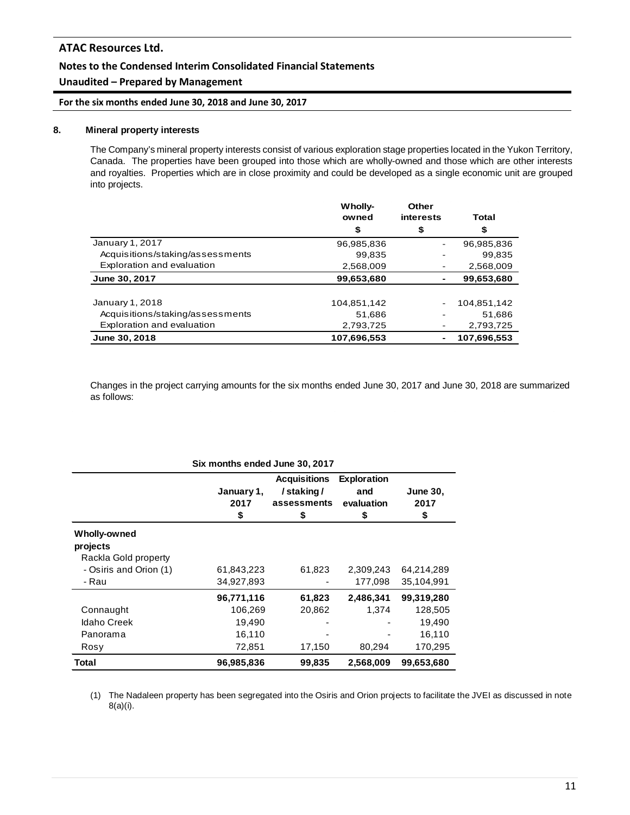### **Notes to the Condensed Interim Consolidated Financial Statements**

## **Unaudited – Prepared by Management**

**For the six months ended June 30, 2018 and June 30, 2017**

### **8. Mineral property interests**

The Company's mineral property interests consist of various exploration stage properties located in the Yukon Territory, Canada. The properties have been grouped into those which are wholly-owned and those which are other interests and royalties. Properties which are in close proximity and could be developed as a single economic unit are grouped into projects.

|                                  | Wholly-     | Other     |             |
|----------------------------------|-------------|-----------|-------------|
|                                  | owned       | interests | Total       |
|                                  | \$          | \$        | \$          |
| January 1, 2017                  | 96,985,836  |           | 96,985,836  |
| Acquisitions/staking/assessments | 99,835      |           | 99,835      |
| Exploration and evaluation       | 2,568,009   |           | 2,568,009   |
| June 30, 2017                    | 99,653,680  |           | 99.653.680  |
|                                  |             |           |             |
| January 1, 2018                  | 104,851,142 |           | 104,851,142 |
| Acquisitions/staking/assessments | 51,686      |           | 51,686      |
| Exploration and evaluation       | 2,793,725   |           | 2,793,725   |
| June 30, 2018                    | 107,696,553 |           | 107,696,553 |

Changes in the project carrying amounts for the six months ended June 30, 2017 and June 30, 2018 are summarized as follows:

| Six months ended June 30, 2017 |                          |                                                       |                                               |                               |  |
|--------------------------------|--------------------------|-------------------------------------------------------|-----------------------------------------------|-------------------------------|--|
|                                | January 1,<br>2017<br>\$ | <b>Acquisitions</b><br>/staking/<br>assessments<br>\$ | <b>Exploration</b><br>and<br>evaluation<br>\$ | <b>June 30,</b><br>2017<br>\$ |  |
| Wholly-owned                   |                          |                                                       |                                               |                               |  |
| projects                       |                          |                                                       |                                               |                               |  |
| Rackla Gold property           |                          |                                                       |                                               |                               |  |
| - Osiris and Orion (1)         | 61,843,223               | 61,823                                                | 2,309,243                                     | 64,214,289                    |  |
| - Rau                          | 34,927,893               |                                                       | 177,098                                       | 35,104,991                    |  |
|                                | 96,771,116               | 61,823                                                | 2,486,341                                     | 99,319,280                    |  |
| Connaught                      | 106,269                  | 20,862                                                | 1,374                                         | 128,505                       |  |
| <b>Idaho Creek</b>             | 19,490                   |                                                       |                                               | 19,490                        |  |
| Panorama                       | 16,110                   |                                                       |                                               | 16,110                        |  |
| Rosy                           | 72,851                   | 17,150                                                | 80,294                                        | 170,295                       |  |
| Total                          | 96,985,836               | 99,835                                                | 2,568,009                                     | 99.653.680                    |  |

(1) The Nadaleen property has been segregated into the Osiris and Orion projects to facilitate the JVEI as discussed in note 8(a)(i).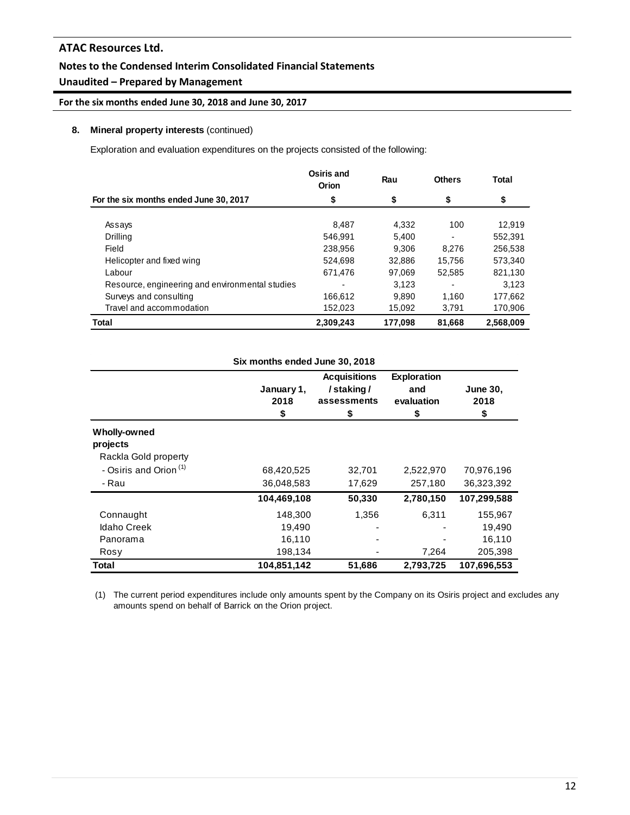## **Notes to the Condensed Interim Consolidated Financial Statements**

# **Unaudited – Prepared by Management**

**For the six months ended June 30, 2018 and June 30, 2017**

### **8. Mineral property interests** (continued)

Exploration and evaluation expenditures on the projects consisted of the following:

|                                                 | Osiris and<br>Orion | Rau     | <b>Others</b>            | Total     |
|-------------------------------------------------|---------------------|---------|--------------------------|-----------|
| For the six months ended June 30, 2017          | \$                  | \$      | \$                       | \$        |
| Assays                                          | 8.487               | 4,332   | 100                      | 12,919    |
| Drilling                                        | 546.991             | 5.400   | ۰                        | 552,391   |
| Field                                           | 238,956             | 9.306   | 8.276                    | 256.538   |
| Helicopter and fixed wing                       | 524,698             | 32.886  | 15.756                   | 573.340   |
| Labour                                          | 671.476             | 97.069  | 52,585                   | 821,130   |
| Resource, engineering and environmental studies |                     | 3.123   | $\overline{\phantom{0}}$ | 3.123     |
| Surveys and consulting                          | 166,612             | 9.890   | 1.160                    | 177,662   |
| Travel and accommodation                        | 152,023             | 15.092  | 3,791                    | 170,906   |
| Total                                           | 2,309,243           | 177.098 | 81.668                   | 2.568.009 |

| Six months ended June 30, 2018    |                          |                                                       |                                               |                               |  |  |
|-----------------------------------|--------------------------|-------------------------------------------------------|-----------------------------------------------|-------------------------------|--|--|
|                                   | January 1,<br>2018<br>\$ | <b>Acquisitions</b><br>/staking/<br>assessments<br>\$ | <b>Exploration</b><br>and<br>evaluation<br>\$ | <b>June 30,</b><br>2018<br>\$ |  |  |
| Wholly-owned                      |                          |                                                       |                                               |                               |  |  |
| projects                          |                          |                                                       |                                               |                               |  |  |
| Rackla Gold property              |                          |                                                       |                                               |                               |  |  |
| - Osiris and Orion <sup>(1)</sup> | 68,420,525               | 32,701                                                | 2,522,970                                     | 70,976,196                    |  |  |
| - Rau                             | 36,048,583               | 17,629                                                | 257,180                                       | 36,323,392                    |  |  |
|                                   | 104,469,108              | 50,330                                                | 2,780,150                                     | 107,299,588                   |  |  |
| Connaught                         | 148,300                  | 1,356                                                 | 6,311                                         | 155,967                       |  |  |
| <b>Idaho Creek</b>                | 19,490                   |                                                       |                                               | 19,490                        |  |  |
| Panorama                          | 16,110                   |                                                       |                                               | 16,110                        |  |  |
| Rosy                              | 198,134                  |                                                       | 7,264                                         | 205,398                       |  |  |
| Total                             | 104,851,142              | 51,686                                                | 2,793,725                                     | 107,696,553                   |  |  |

(1) The current period expenditures include only amounts spent by the Company on its Osiris project and excludes any amounts spend on behalf of Barrick on the Orion project.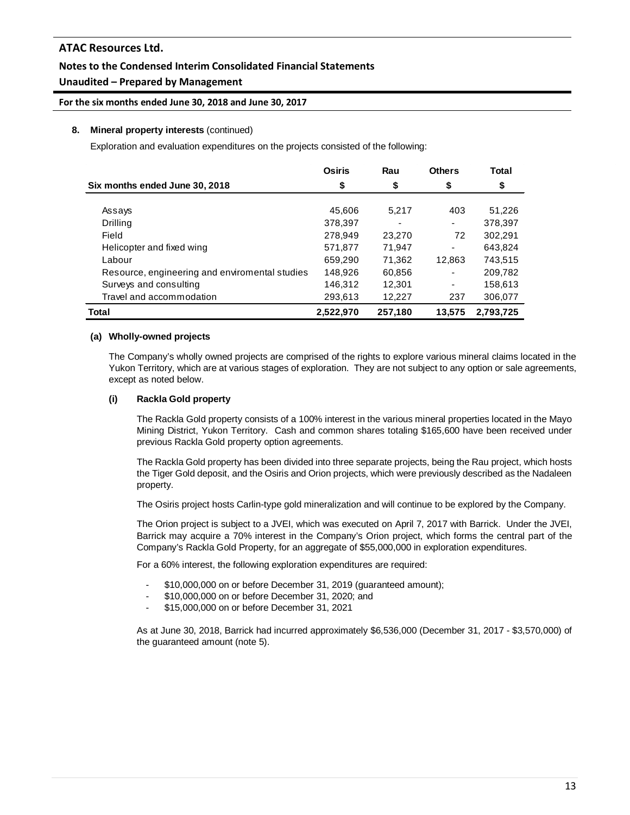## **Notes to the Condensed Interim Consolidated Financial Statements**

## **Unaudited – Prepared by Management**

**For the six months ended June 30, 2018 and June 30, 2017**

### **8. Mineral property interests** (continued)

Exploration and evaluation expenditures on the projects consisted of the following:

|                                                | <b>Osiris</b> | Rau                      | <b>Others</b>            | <b>Total</b> |
|------------------------------------------------|---------------|--------------------------|--------------------------|--------------|
| Six months ended June 30, 2018                 | \$            | \$                       | \$                       | \$           |
|                                                |               |                          |                          |              |
| Assays                                         | 45,606        | 5.217                    | 403                      | 51,226       |
| Drilling                                       | 378,397       | $\overline{\phantom{0}}$ |                          | 378,397      |
| Field                                          | 278,949       | 23,270                   | 72                       | 302,291      |
| Helicopter and fixed wing                      | 571,877       | 71,947                   | ٠                        | 643,824      |
| Labour                                         | 659,290       | 71,362                   | 12,863                   | 743,515      |
| Resource, engineering and enviromental studies | 148,926       | 60,856                   | $\overline{\phantom{0}}$ | 209,782      |
| Surveys and consulting                         | 146,312       | 12,301                   | ٠                        | 158,613      |
| Travel and accommodation                       | 293,613       | 12,227                   | 237                      | 306,077      |
| Total                                          | 2,522,970     | 257,180                  | 13.575                   | 2.793.725    |

### **(a) Wholly-owned projects**

The Company's wholly owned projects are comprised of the rights to explore various mineral claims located in the Yukon Territory, which are at various stages of exploration. They are not subject to any option or sale agreements, except as noted below.

### **(i) Rackla Gold property**

The Rackla Gold property consists of a 100% interest in the various mineral properties located in the Mayo Mining District, Yukon Territory. Cash and common shares totaling \$165,600 have been received under previous Rackla Gold property option agreements.

The Rackla Gold property has been divided into three separate projects, being the Rau project, which hosts the Tiger Gold deposit, and the Osiris and Orion projects, which were previously described as the Nadaleen property.

The Osiris project hosts Carlin-type gold mineralization and will continue to be explored by the Company.

The Orion project is subject to a JVEI, which was executed on April 7, 2017 with Barrick. Under the JVEI, Barrick may acquire a 70% interest in the Company's Orion project, which forms the central part of the Company's Rackla Gold Property, for an aggregate of \$55,000,000 in exploration expenditures.

For a 60% interest, the following exploration expenditures are required:

- \$10,000,000 on or before December 31, 2019 (guaranteed amount);
- \$10,000,000 on or before December 31, 2020; and
- \$15,000,000 on or before December 31, 2021

As at June 30, 2018, Barrick had incurred approximately \$6,536,000 (December 31, 2017 - \$3,570,000) of the guaranteed amount (note 5).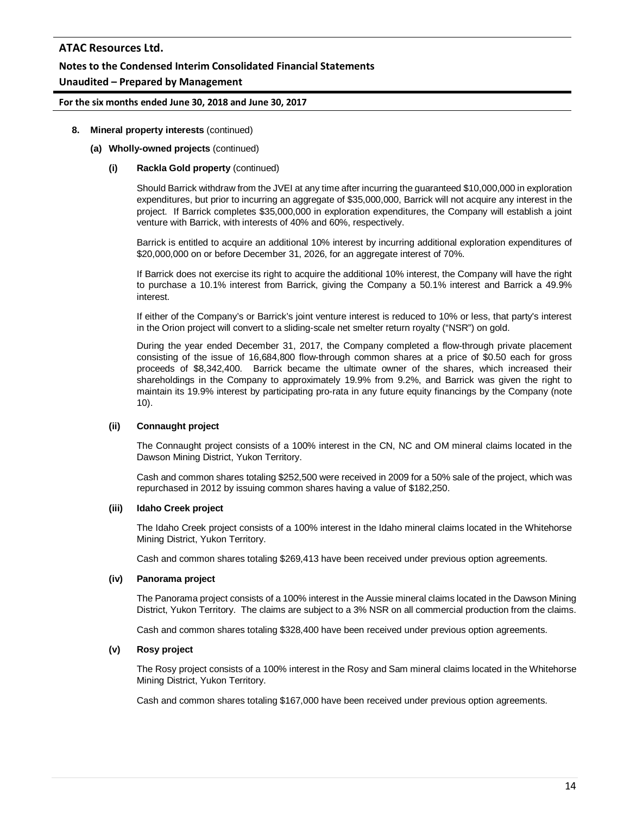## **Notes to the Condensed Interim Consolidated Financial Statements**

## **Unaudited – Prepared by Management**

### **For the six months ended June 30, 2018 and June 30, 2017**

### **8. Mineral property interests** (continued)

### **(a) Wholly-owned projects** (continued)

### **(i) Rackla Gold property** (continued)

Should Barrick withdraw from the JVEI at any time after incurring the guaranteed \$10,000,000 in exploration expenditures, but prior to incurring an aggregate of \$35,000,000, Barrick will not acquire any interest in the project. If Barrick completes \$35,000,000 in exploration expenditures, the Company will establish a joint venture with Barrick, with interests of 40% and 60%, respectively.

Barrick is entitled to acquire an additional 10% interest by incurring additional exploration expenditures of \$20,000,000 on or before December 31, 2026, for an aggregate interest of 70%.

If Barrick does not exercise its right to acquire the additional 10% interest, the Company will have the right to purchase a 10.1% interest from Barrick, giving the Company a 50.1% interest and Barrick a 49.9% interest.

If either of the Company's or Barrick's joint venture interest is reduced to 10% or less, that party's interest in the Orion project will convert to a sliding-scale net smelter return royalty ("NSR") on gold.

During the year ended December 31, 2017, the Company completed a flow-through private placement consisting of the issue of 16,684,800 flow-through common shares at a price of \$0.50 each for gross proceeds of \$8,342,400. Barrick became the ultimate owner of the shares, which increased their shareholdings in the Company to approximately 19.9% from 9.2%, and Barrick was given the right to maintain its 19.9% interest by participating pro-rata in any future equity financings by the Company (note 10).

#### **(ii) Connaught project**

The Connaught project consists of a 100% interest in the CN, NC and OM mineral claims located in the Dawson Mining District, Yukon Territory.

Cash and common shares totaling \$252,500 were received in 2009 for a 50% sale of the project, which was repurchased in 2012 by issuing common shares having a value of \$182,250.

#### **(iii) Idaho Creek project**

The Idaho Creek project consists of a 100% interest in the Idaho mineral claims located in the Whitehorse Mining District, Yukon Territory.

Cash and common shares totaling \$269,413 have been received under previous option agreements.

#### **(iv) Panorama project**

The Panorama project consists of a 100% interest in the Aussie mineral claims located in the Dawson Mining District, Yukon Territory. The claims are subject to a 3% NSR on all commercial production from the claims.

Cash and common shares totaling \$328,400 have been received under previous option agreements.

#### **(v) Rosy project**

The Rosy project consists of a 100% interest in the Rosy and Sam mineral claims located in the Whitehorse Mining District, Yukon Territory.

Cash and common shares totaling \$167,000 have been received under previous option agreements.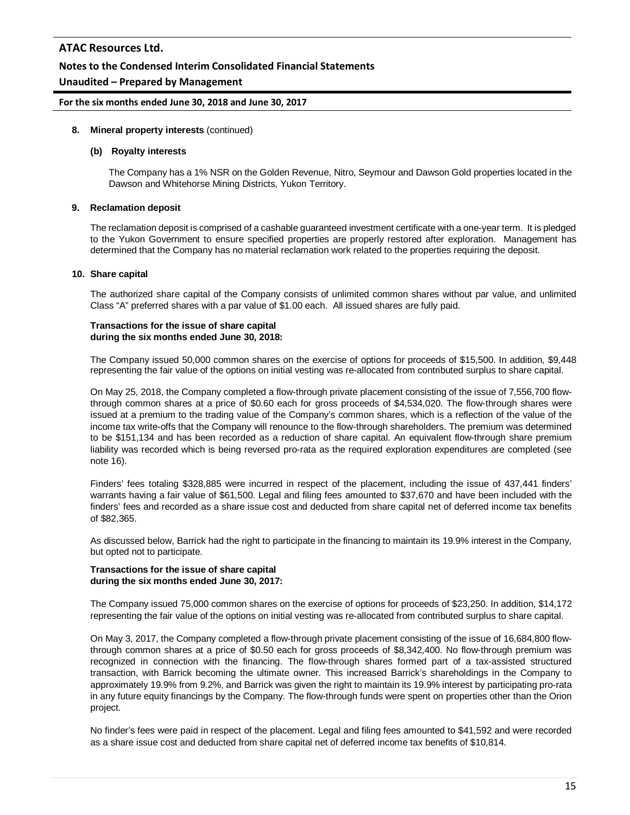### **Notes to the Condensed Interim Consolidated Financial Statements**

### **Unaudited – Prepared by Management**

#### **For the six months ended June 30, 2018 and June 30, 2017**

#### **8. Mineral property interests** (continued)

#### **(b) Royalty interests**

The Company has a 1% NSR on the Golden Revenue, Nitro, Seymour and Dawson Gold properties located in the Dawson and Whitehorse Mining Districts, Yukon Territory.

#### **9. Reclamation deposit**

The reclamation deposit is comprised of a cashable guaranteed investment certificate with a one-year term. It is pledged to the Yukon Government to ensure specified properties are properly restored after exploration. Management has determined that the Company has no material reclamation work related to the properties requiring the deposit.

#### **10. Share capital**

The authorized share capital of the Company consists of unlimited common shares without par value, and unlimited Class "A" preferred shares with a par value of \$1.00 each. All issued shares are fully paid.

#### **Transactions for the issue of share capital during the six months ended June 30, 2018:**

The Company issued 50,000 common shares on the exercise of options for proceeds of \$15,500. In addition, \$9,448 representing the fair value of the options on initial vesting was re-allocated from contributed surplus to share capital.

On May 25, 2018, the Company completed a flow-through private placement consisting of the issue of 7,556,700 flowthrough common shares at a price of \$0.60 each for gross proceeds of \$4,534,020. The flow-through shares were issued at a premium to the trading value of the Company's common shares, which is a reflection of the value of the income tax write-offs that the Company will renounce to the flow-through shareholders. The premium was determined to be \$151,134 and has been recorded as a reduction of share capital. An equivalent flow-through share premium liability was recorded which is being reversed pro-rata as the required exploration expenditures are completed (see note 16).

Finders' fees totaling \$328,885 were incurred in respect of the placement, including the issue of 437,441 finders' warrants having a fair value of \$61,500. Legal and filing fees amounted to \$37,670 and have been included with the finders' fees and recorded as a share issue cost and deducted from share capital net of deferred income tax benefits of \$82,365.

As discussed below, Barrick had the right to participate in the financing to maintain its 19.9% interest in the Company, but opted not to participate.

#### **Transactions for the issue of share capital during the six months ended June 30, 2017:**

The Company issued 75,000 common shares on the exercise of options for proceeds of \$23,250. In addition, \$14,172 representing the fair value of the options on initial vesting was re-allocated from contributed surplus to share capital.

On May 3, 2017, the Company completed a flow-through private placement consisting of the issue of 16,684,800 flowthrough common shares at a price of \$0.50 each for gross proceeds of \$8,342,400. No flow-through premium was recognized in connection with the financing. The flow-through shares formed part of a tax-assisted structured transaction, with Barrick becoming the ultimate owner. This increased Barrick's shareholdings in the Company to approximately 19.9% from 9.2%, and Barrick was given the right to maintain its 19.9% interest by participating pro-rata in any future equity financings by the Company. The flow-through funds were spent on properties other than the Orion project.

No finder's fees were paid in respect of the placement. Legal and filing fees amounted to \$41,592 and were recorded as a share issue cost and deducted from share capital net of deferred income tax benefits of \$10,814.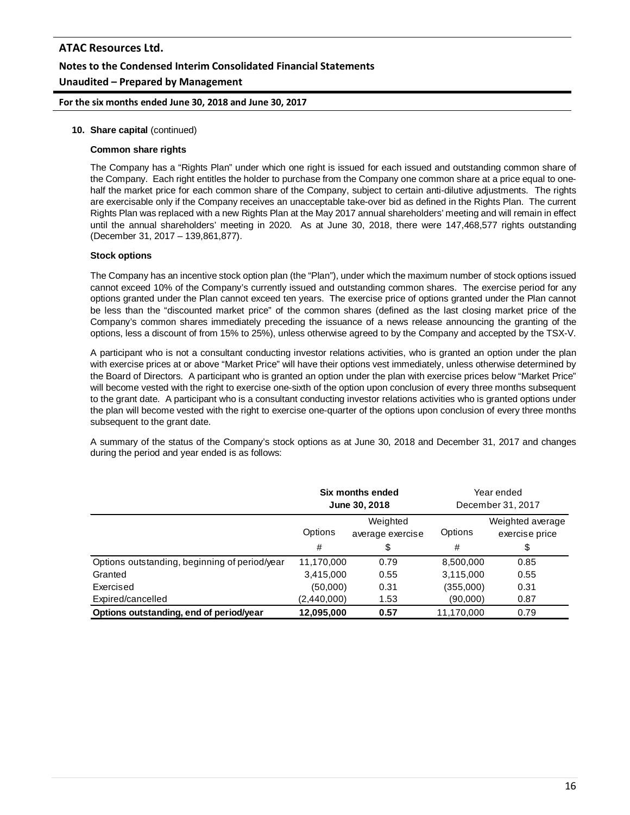**For the six months ended June 30, 2018 and June 30, 2017**

#### **10. Share capital** (continued)

#### **Common share rights**

The Company has a "Rights Plan" under which one right is issued for each issued and outstanding common share of the Company. Each right entitles the holder to purchase from the Company one common share at a price equal to onehalf the market price for each common share of the Company, subject to certain anti-dilutive adjustments. The rights are exercisable only if the Company receives an unacceptable take-over bid as defined in the Rights Plan. The current Rights Plan was replaced with a new Rights Plan at the May 2017 annual shareholders' meeting and will remain in effect until the annual shareholders' meeting in 2020. As at June 30, 2018, there were 147,468,577 rights outstanding (December 31, 2017 – 139,861,877).

#### **Stock options**

The Company has an incentive stock option plan (the "Plan"), under which the maximum number of stock options issued cannot exceed 10% of the Company's currently issued and outstanding common shares. The exercise period for any options granted under the Plan cannot exceed ten years. The exercise price of options granted under the Plan cannot be less than the "discounted market price" of the common shares (defined as the last closing market price of the Company's common shares immediately preceding the issuance of a news release announcing the granting of the options, less a discount of from 15% to 25%), unless otherwise agreed to by the Company and accepted by the TSX-V.

A participant who is not a consultant conducting investor relations activities, who is granted an option under the plan with exercise prices at or above "Market Price" will have their options vest immediately, unless otherwise determined by the Board of Directors. A participant who is granted an option under the plan with exercise prices below "Market Price" will become vested with the right to exercise one-sixth of the option upon conclusion of every three months subsequent to the grant date. A participant who is a consultant conducting investor relations activities who is granted options under the plan will become vested with the right to exercise one-quarter of the options upon conclusion of every three months subsequent to the grant date.

A summary of the status of the Company's stock options as at June 30, 2018 and December 31, 2017 and changes during the period and year ended is as follows:

|                                               | Six months ended<br>June 30, 2018       |      | Year ended<br>December 31, 2017 |                                    |
|-----------------------------------------------|-----------------------------------------|------|---------------------------------|------------------------------------|
|                                               | Weighted<br>Options<br>average exercise |      | Options                         | Weighted average<br>exercise price |
|                                               | #                                       | \$   | #                               | \$                                 |
| Options outstanding, beginning of period/year | 11,170,000                              | 0.79 | 8,500,000                       | 0.85                               |
| Granted                                       | 3,415,000                               | 0.55 | 3,115,000                       | 0.55                               |
| Exercised                                     | (50,000)                                | 0.31 | (355,000)                       | 0.31                               |
| Expired/cancelled                             | (2,440,000)                             | 1.53 | (90,000)                        | 0.87                               |
| Options outstanding, end of period/year       | 12,095,000                              | 0.57 | 11,170,000                      | 0.79                               |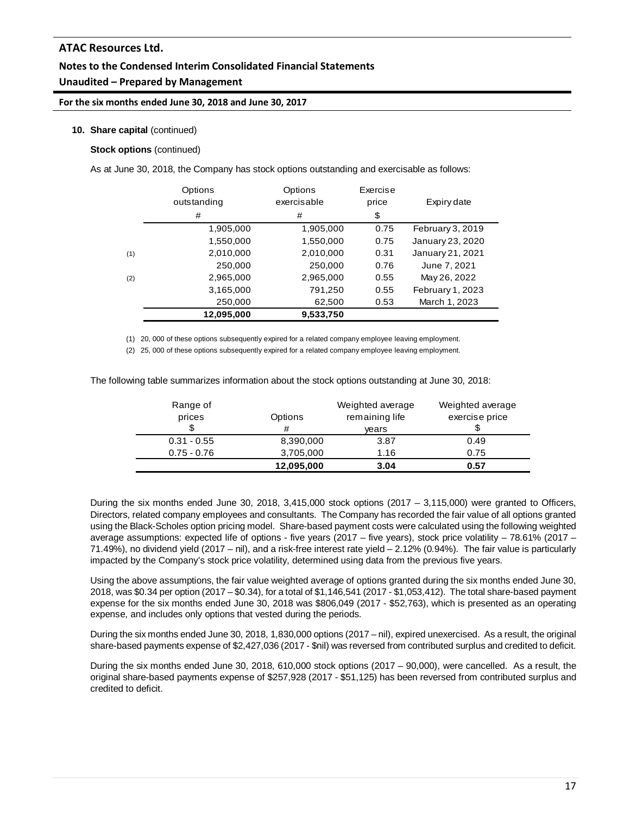# **Notes to the Condensed Interim Consolidated Financial Statements Unaudited – Prepared by Management**

**For the six months ended June 30, 2018 and June 30, 2017**

### **10. Share capital** (continued)

### **Stock options** (continued)

As at June 30, 2018, the Company has stock options outstanding and exercisable as follows:

|     | Options<br>outstanding<br># | Options<br>exercisable<br># | Exercise<br>price<br>\$ | Expiry date      |
|-----|-----------------------------|-----------------------------|-------------------------|------------------|
|     | 1,905,000                   | 1,905,000                   | 0.75                    | February 3, 2019 |
|     | 1,550,000                   | 1,550,000                   | 0.75                    | January 23, 2020 |
| (1) | 2,010,000                   | 2,010,000                   | 0.31                    | January 21, 2021 |
|     | 250,000                     | 250,000                     | 0.76                    | June 7, 2021     |
| (2) | 2,965,000                   | 2,965,000                   | 0.55                    | May 26, 2022     |
|     | 3,165,000                   | 791,250                     | 0.55                    | February 1, 2023 |
|     | 250,000                     | 62,500                      | 0.53                    | March 1, 2023    |
|     | 12,095,000                  | 9,533,750                   |                         |                  |

(1) 20, 000 of these options subsequently expired for a related company employee leaving employment.

(2) 25, 000 of these options subsequently expired for a related company employee leaving employment.

The following table summarizes information about the stock options outstanding at June 30, 2018:

| Range of<br>prices | Options<br># | Weighted average<br>remaining life<br>vears | Weighted average<br>exercise price |
|--------------------|--------------|---------------------------------------------|------------------------------------|
| $0.31 - 0.55$      | 8,390,000    | 3.87                                        | 0.49                               |
| $0.75 - 0.76$      | 3,705,000    | 1.16                                        | 0.75                               |
|                    | 12,095,000   | 3.04                                        | 0.57                               |

During the six months ended June 30, 2018, 3,415,000 stock options (2017 – 3,115,000) were granted to Officers, Directors, related company employees and consultants. The Company has recorded the fair value of all options granted using the Black-Scholes option pricing model. Share-based payment costs were calculated using the following weighted average assumptions: expected life of options - five years (2017 – five years), stock price volatility – 78.61% (2017 – 71.49%), no dividend yield (2017 – nil), and a risk-free interest rate yield – 2.12% (0.94%). The fair value is particularly impacted by the Company's stock price volatility, determined using data from the previous five years.

Using the above assumptions, the fair value weighted average of options granted during the six months ended June 30, 2018, was \$0.34 per option (2017 – \$0.34), for a total of \$1,146,541 (2017 - \$1,053,412). The total share-based payment expense for the six months ended June 30, 2018 was \$806,049 (2017 - \$52,763), which is presented as an operating expense, and includes only options that vested during the periods.

During the six months ended June 30, 2018, 1,830,000 options (2017 – nil), expired unexercised. As a result, the original share-based payments expense of \$2,427,036 (2017 - \$nil) was reversed from contributed surplus and credited to deficit.

During the six months ended June 30, 2018, 610,000 stock options (2017 – 90,000), were cancelled. As a result, the original share-based payments expense of \$257,928 (2017 - \$51,125) has been reversed from contributed surplus and credited to deficit.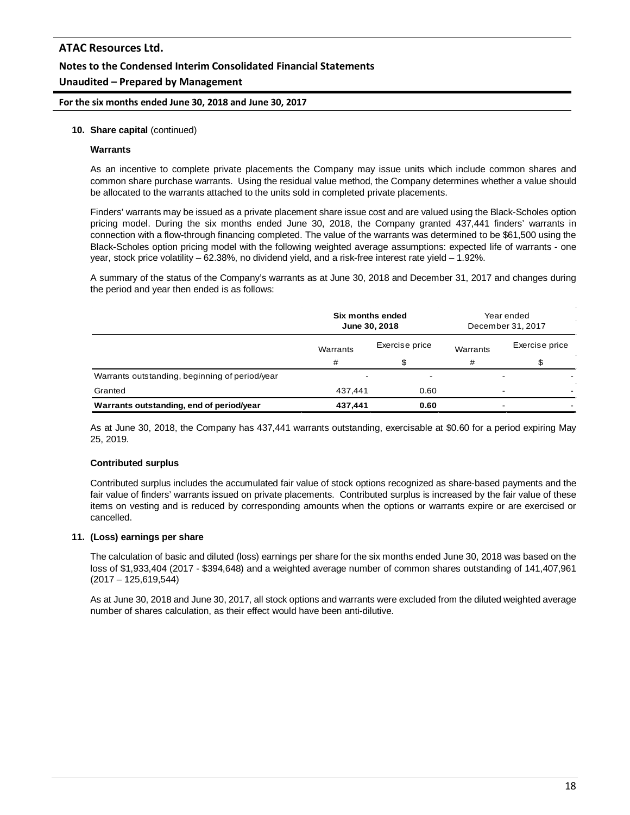**For the six months ended June 30, 2018 and June 30, 2017**

#### **10. Share capital** (continued)

#### **Warrants**

As an incentive to complete private placements the Company may issue units which include common shares and common share purchase warrants. Using the residual value method, the Company determines whether a value should be allocated to the warrants attached to the units sold in completed private placements.

Finders' warrants may be issued as a private placement share issue cost and are valued using the Black-Scholes option pricing model. During the six months ended June 30, 2018, the Company granted 437,441 finders' warrants in connection with a flow-through financing completed. The value of the warrants was determined to be \$61,500 using the Black-Scholes option pricing model with the following weighted average assumptions: expected life of warrants - one year, stock price volatility – 62.38%, no dividend yield, and a risk-free interest rate yield – 1.92%.

A summary of the status of the Company's warrants as at June 30, 2018 and December 31, 2017 and changes during the period and year then ended is as follows:

|                                                | Six months ended<br>June 30, 2018 |                          | Year ended<br>December 31, 2017 |                          |
|------------------------------------------------|-----------------------------------|--------------------------|---------------------------------|--------------------------|
|                                                | Warrants                          | Exercise price           | Warrants                        | Exercise price           |
|                                                | #                                 |                          | #                               |                          |
| Warrants outstanding, beginning of period/year | $\overline{\phantom{a}}$          | $\overline{\phantom{a}}$ |                                 | $\overline{\phantom{0}}$ |
| Granted                                        | 437.441                           | 0.60                     |                                 | -                        |
| Warrants outstanding, end of period/year       | 437,441                           | 0.60                     |                                 | $\overline{\phantom{0}}$ |

As at June 30, 2018, the Company has 437,441 warrants outstanding, exercisable at \$0.60 for a period expiring May 25, 2019.

#### **Contributed surplus**

Contributed surplus includes the accumulated fair value of stock options recognized as share-based payments and the fair value of finders' warrants issued on private placements. Contributed surplus is increased by the fair value of these items on vesting and is reduced by corresponding amounts when the options or warrants expire or are exercised or cancelled.

#### **11. (Loss) earnings per share**

The calculation of basic and diluted (loss) earnings per share for the six months ended June 30, 2018 was based on the loss of \$1,933,404 (2017 - \$394,648) and a weighted average number of common shares outstanding of 141,407,961 (2017 – 125,619,544)

As at June 30, 2018 and June 30, 2017, all stock options and warrants were excluded from the diluted weighted average number of shares calculation, as their effect would have been anti-dilutive.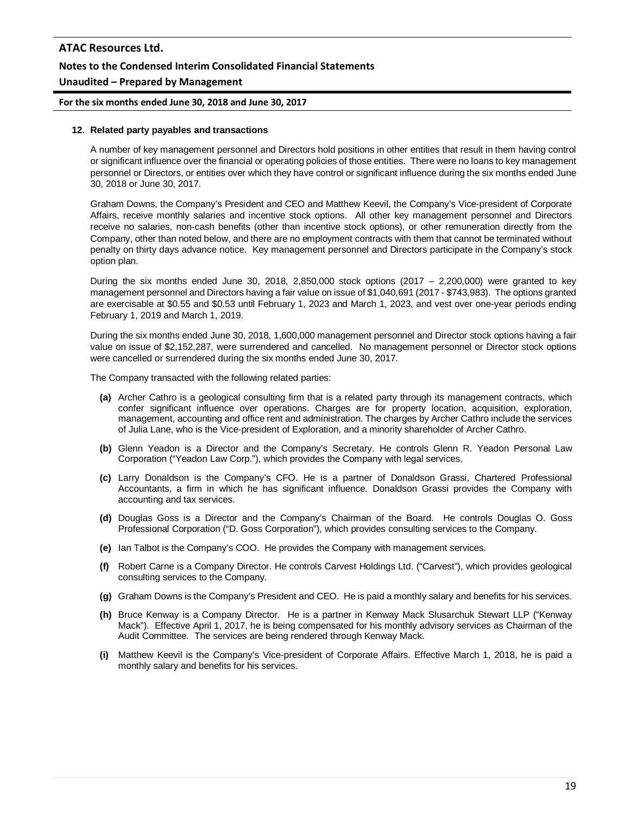# **ATAC Resources Ltd. Notes to the Condensed Interim Consolidated Financial Statements Unaudited – Prepared by Management**

**For the six months ended June 30, 2018 and June 30, 2017**

#### **12. Related party payables and transactions**

A number of key management personnel and Directors hold positions in other entities that result in them having control or significant influence over the financial or operating policies of those entities. There were no loans to key management personnel or Directors, or entities over which they have control or significant influence during the six months ended June 30, 2018 or June 30, 2017.

Graham Downs, the Company's President and CEO and Matthew Keevil, the Company's Vice-president of Corporate Affairs, receive monthly salaries and incentive stock options. All other key management personnel and Directors receive no salaries, non-cash benefits (other than incentive stock options), or other remuneration directly from the Company, other than noted below, and there are no employment contracts with them that cannot be terminated without penalty on thirty days advance notice. Key management personnel and Directors participate in the Company's stock option plan.

During the six months ended June 30, 2018, 2,850,000 stock options  $(2017 - 2,200,000)$  were granted to key management personnel and Directors having a fair value on issue of \$1,040,691 (2017 - \$743,983). The options granted are exercisable at \$0.55 and \$0.53 until February 1, 2023 and March 1, 2023, and vest over one-year periods ending February 1, 2019 and March 1, 2019.

During the six months ended June 30, 2018, 1,600,000 management personnel and Director stock options having a fair value on issue of \$2,152,287, were surrendered and cancelled. No management personnel or Director stock options were cancelled or surrendered during the six months ended June 30, 2017.

The Company transacted with the following related parties:

- **(a)** Archer Cathro is a geological consulting firm that is a related party through its management contracts, which confer significant influence over operations. Charges are for property location, acquisition, exploration, management, accounting and office rent and administration. The charges by Archer Cathro include the services of Julia Lane, who is the Vice-president of Exploration, and a minority shareholder of Archer Cathro.
- **(b)** Glenn Yeadon is a Director and the Company's Secretary. He controls Glenn R. Yeadon Personal Law Corporation ("Yeadon Law Corp."), which provides the Company with legal services.
- **(c)** Larry Donaldson is the Company's CFO. He is a partner of Donaldson Grassi, Chartered Professional Accountants, a firm in which he has significant influence. Donaldson Grassi provides the Company with accounting and tax services.
- **(d)** Douglas Goss is a Director and the Company's Chairman of the Board. He controls Douglas O. Goss Professional Corporation ("D. Goss Corporation"), which provides consulting services to the Company.
- **(e)** Ian Talbot is the Company's COO. He provides the Company with management services.
- **(f)** Robert Carne is a Company Director. He controls Carvest Holdings Ltd. ("Carvest"), which provides geological consulting services to the Company.
- **(g)** Graham Downs is the Company's President and CEO. He is paid a monthly salary and benefits for his services.
- **(h)** Bruce Kenway is a Company Director. He is a partner in Kenway Mack Slusarchuk Stewart LLP ("Kenway Mack"). Effective April 1, 2017, he is being compensated for his monthly advisory services as Chairman of the Audit Committee. The services are being rendered through Kenway Mack.
- **(i)** Matthew Keevil is the Company's Vice-president of Corporate Affairs. Effective March 1, 2018, he is paid a monthly salary and benefits for his services.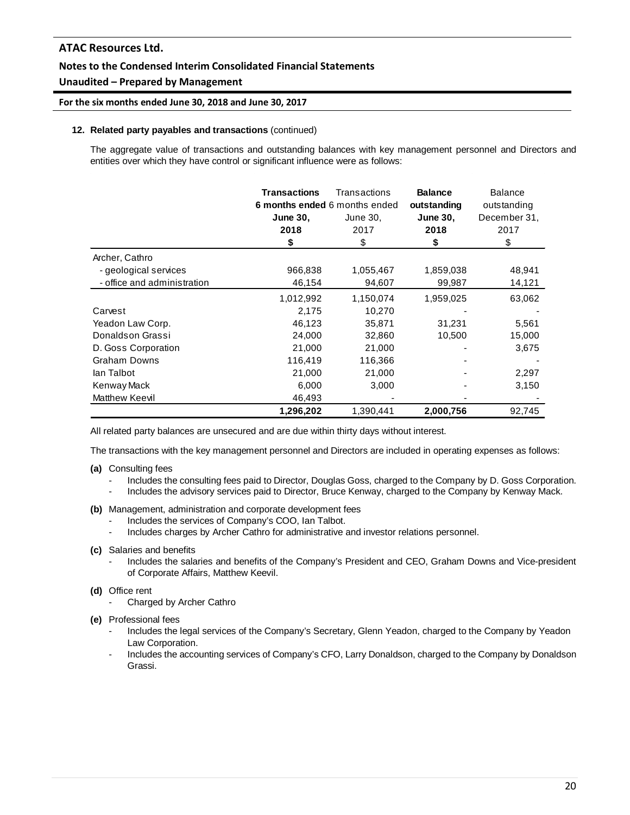## **Notes to the Condensed Interim Consolidated Financial Statements**

## **Unaudited – Prepared by Management**

### **For the six months ended June 30, 2018 and June 30, 2017**

### **12. Related party payables and transactions** (continued)

The aggregate value of transactions and outstanding balances with key management personnel and Directors and entities over which they have control or significant influence were as follows:

|                             | <b>Transactions</b><br>6 months ended 6 months ended | Transactions | <b>Balance</b><br>outstanding | <b>Balance</b><br>outstanding |
|-----------------------------|------------------------------------------------------|--------------|-------------------------------|-------------------------------|
|                             | <b>June 30,</b>                                      | June 30,     | <b>June 30,</b>               | December 31,                  |
|                             | 2018                                                 | 2017         | 2018                          | 2017                          |
|                             | \$                                                   | \$           | \$                            | \$                            |
| Archer, Cathro              |                                                      |              |                               |                               |
| - geological services       | 966,838                                              | 1,055,467    | 1,859,038                     | 48,941                        |
| - office and administration | 46,154                                               | 94,607       | 99,987                        | 14,121                        |
|                             | 1,012,992                                            | 1,150,074    | 1,959,025                     | 63,062                        |
| Carvest                     | 2,175                                                | 10,270       |                               |                               |
| Yeadon Law Corp.            | 46,123                                               | 35,871       | 31,231                        | 5,561                         |
| Donaldson Grassi            | 24,000                                               | 32,860       | 10,500                        | 15,000                        |
| D. Goss Corporation         | 21,000                                               | 21,000       |                               | 3,675                         |
| <b>Graham Downs</b>         | 116,419                                              | 116,366      |                               |                               |
| lan Talbot                  | 21,000                                               | 21,000       |                               | 2,297                         |
| Kenway Mack                 | 6,000                                                | 3,000        |                               | 3,150                         |
| Matthew Keevil              | 46,493                                               |              |                               |                               |
|                             | 1,296,202                                            | 1,390,441    | 2,000,756                     | 92,745                        |

All related party balances are unsecured and are due within thirty days without interest.

The transactions with the key management personnel and Directors are included in operating expenses as follows:

- **(a)** Consulting fees
	- Includes the consulting fees paid to Director, Douglas Goss, charged to the Company by D. Goss Corporation.
	- Includes the advisory services paid to Director, Bruce Kenway, charged to the Company by Kenway Mack.
- **(b)** Management, administration and corporate development fees
	- Includes the services of Company's COO, Ian Talbot.
	- Includes charges by Archer Cathro for administrative and investor relations personnel.
- **(c)** Salaries and benefits
	- Includes the salaries and benefits of the Company's President and CEO, Graham Downs and Vice-president of Corporate Affairs, Matthew Keevil.
- **(d)** Office rent
	- Charged by Archer Cathro
- **(e)** Professional fees
	- Includes the legal services of the Company's Secretary, Glenn Yeadon, charged to the Company by Yeadon Law Corporation.
	- Includes the accounting services of Company's CFO, Larry Donaldson, charged to the Company by Donaldson Grassi.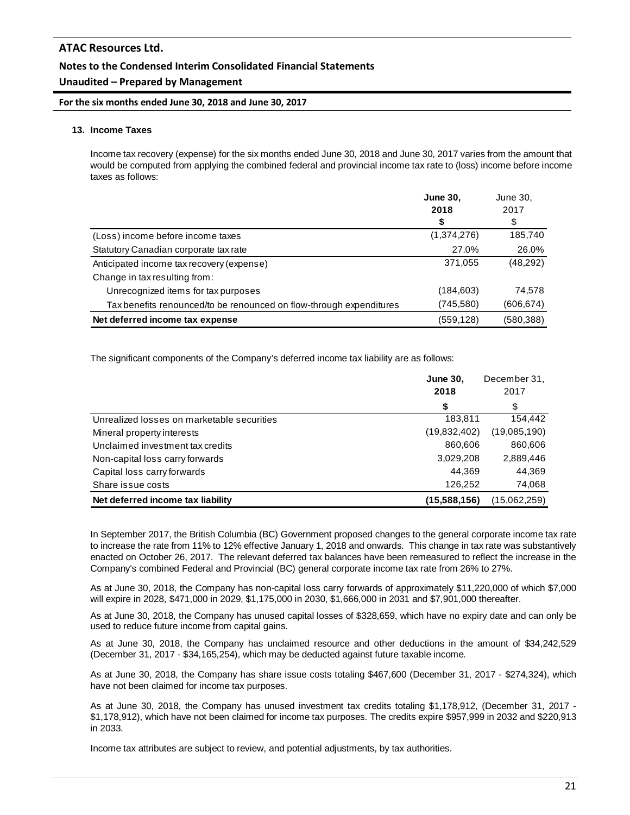## **Notes to the Condensed Interim Consolidated Financial Statements**

## **Unaudited – Prepared by Management**

**For the six months ended June 30, 2018 and June 30, 2017**

### **13. Income Taxes**

Income tax recovery (expense) for the six months ended June 30, 2018 and June 30, 2017 varies from the amount that would be computed from applying the combined federal and provincial income tax rate to (loss) income before income taxes as follows:

|                                                                     | <b>June 30.</b> | June 30,   |
|---------------------------------------------------------------------|-----------------|------------|
|                                                                     | 2018            | 2017       |
|                                                                     | \$              | \$         |
| (Loss) income before income taxes                                   | (1,374,276)     | 185,740    |
| Statutory Canadian corporate tax rate                               | 27.0%           | 26.0%      |
| Anticipated income tax recovery (expense)                           | 371,055         | (48, 292)  |
| Change in tax resulting from:                                       |                 |            |
| Unrecognized items for tax purposes                                 | (184, 603)      | 74,578     |
| Tax benefits renounced/to be renounced on flow-through expenditures | (745,580)       | (606, 674) |
| Net deferred income tax expense                                     | (559, 128)      | (580, 388) |

The significant components of the Company's deferred income tax liability are as follows:

|                                            | <b>June 30,</b><br>2018 | December 31,<br>2017 |
|--------------------------------------------|-------------------------|----------------------|
|                                            | \$                      | \$                   |
| Unrealized losses on marketable securities | 183,811                 | 154,442              |
| Mineral property interests                 | (19,832,402)            | (19,085,190)         |
| Unclaimed investment tax credits           | 860,606                 | 860,606              |
| Non-capital loss carry forwards            | 3,029,208               | 2,889,446            |
| Capital loss carry forwards                | 44,369                  | 44,369               |
| Share issue costs                          | 126,252                 | 74,068               |
| Net deferred income tax liability          | (15.588.156)            | (15.062.259)         |

In September 2017, the British Columbia (BC) Government proposed changes to the general corporate income tax rate to increase the rate from 11% to 12% effective January 1, 2018 and onwards. This change in tax rate was substantively enacted on October 26, 2017. The relevant deferred tax balances have been remeasured to reflect the increase in the Company's combined Federal and Provincial (BC) general corporate income tax rate from 26% to 27%.

As at June 30, 2018, the Company has non-capital loss carry forwards of approximately \$11,220,000 of which \$7,000 will expire in 2028, \$471,000 in 2029, \$1,175,000 in 2030, \$1,666,000 in 2031 and \$7,901,000 thereafter.

As at June 30, 2018, the Company has unused capital losses of \$328,659, which have no expiry date and can only be used to reduce future income from capital gains.

As at June 30, 2018, the Company has unclaimed resource and other deductions in the amount of \$34,242,529 (December 31, 2017 - \$34,165,254), which may be deducted against future taxable income.

As at June 30, 2018, the Company has share issue costs totaling \$467,600 (December 31, 2017 - \$274,324), which have not been claimed for income tax purposes.

As at June 30, 2018, the Company has unused investment tax credits totaling \$1,178,912, (December 31, 2017 - \$1,178,912), which have not been claimed for income tax purposes. The credits expire \$957,999 in 2032 and \$220,913 in 2033.

Income tax attributes are subject to review, and potential adjustments, by tax authorities.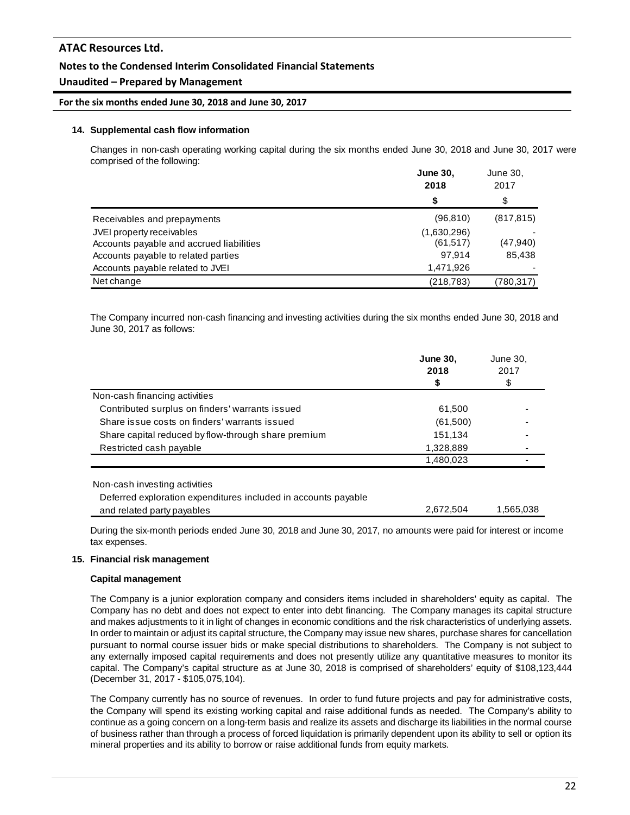## **Notes to the Condensed Interim Consolidated Financial Statements**

## **Unaudited – Prepared by Management**

#### **For the six months ended June 30, 2018 and June 30, 2017**

#### **14. Supplemental cash flow information**

Changes in non-cash operating working capital during the six months ended June 30, 2018 and June 30, 2017 were comprised of the following:

|                                          | June 30,<br>2018<br>\$ |            |
|------------------------------------------|------------------------|------------|
|                                          |                        |            |
| Receivables and prepayments              | (96, 810)              | (817, 815) |
| JVEI property receivables                | (1,630,296)            |            |
| Accounts payable and accrued liabilities | (61, 517)              | (47,940)   |
| Accounts payable to related parties      | 97.914                 | 85,438     |
| Accounts payable related to JVEI         | 1,471,926              |            |
| Net change                               | (218, 783)             | (780,317)  |

The Company incurred non-cash financing and investing activities during the six months ended June 30, 2018 and June 30, 2017 as follows:

|                                                                                                 | <b>June 30,</b><br>2018<br>\$ | June 30,<br>2017<br>\$ |
|-------------------------------------------------------------------------------------------------|-------------------------------|------------------------|
| Non-cash financing activities                                                                   |                               |                        |
| Contributed surplus on finders' warrants issued                                                 | 61,500                        |                        |
| Share issue costs on finders' warrants issued                                                   | (61,500)                      |                        |
| Share capital reduced by flow-through share premium                                             | 151,134                       |                        |
| Restricted cash payable                                                                         | 1,328,889                     |                        |
|                                                                                                 | 1,480,023                     |                        |
| Non-cash investing activities<br>Deferred exploration expenditures included in accounts payable |                               |                        |
| and related party payables                                                                      | 2.672.504                     | 1,565,038              |

During the six-month periods ended June 30, 2018 and June 30, 2017, no amounts were paid for interest or income tax expenses.

#### **15. Financial risk management**

#### **Capital management**

The Company is a junior exploration company and considers items included in shareholders' equity as capital. The Company has no debt and does not expect to enter into debt financing. The Company manages its capital structure and makes adjustments to it in light of changes in economic conditions and the risk characteristics of underlying assets. In order to maintain or adjust its capital structure, the Company may issue new shares, purchase shares for cancellation pursuant to normal course issuer bids or make special distributions to shareholders. The Company is not subject to any externally imposed capital requirements and does not presently utilize any quantitative measures to monitor its capital. The Company's capital structure as at June 30, 2018 is comprised of shareholders' equity of \$108,123,444 (December 31, 2017 - \$105,075,104).

The Company currently has no source of revenues. In order to fund future projects and pay for administrative costs, the Company will spend its existing working capital and raise additional funds as needed. The Company's ability to continue as a going concern on a long-term basis and realize its assets and discharge its liabilities in the normal course of business rather than through a process of forced liquidation is primarily dependent upon its ability to sell or option its mineral properties and its ability to borrow or raise additional funds from equity markets.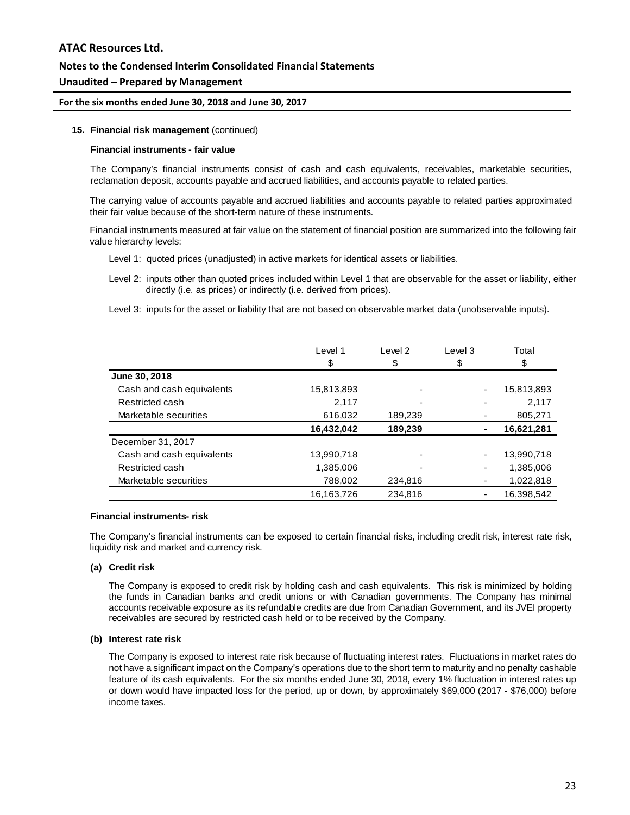### **Notes to the Condensed Interim Consolidated Financial Statements**

### **Unaudited – Prepared by Management**

#### **For the six months ended June 30, 2018 and June 30, 2017**

#### **15. Financial risk management** (continued)

#### **Financial instruments - fair value**

The Company's financial instruments consist of cash and cash equivalents, receivables, marketable securities, reclamation deposit, accounts payable and accrued liabilities, and accounts payable to related parties.

The carrying value of accounts payable and accrued liabilities and accounts payable to related parties approximated their fair value because of the short-term nature of these instruments.

Financial instruments measured at fair value on the statement of financial position are summarized into the following fair value hierarchy levels:

- Level 1: quoted prices (unadjusted) in active markets for identical assets or liabilities.
- Level 2: inputs other than quoted prices included within Level 1 that are observable for the asset or liability, either directly (i.e. as prices) or indirectly (i.e. derived from prices).
- Level 3: inputs for the asset or liability that are not based on observable market data (unobservable inputs).

|                           | Level 1    | Level 2 | Level 3        | Total      |
|---------------------------|------------|---------|----------------|------------|
|                           | \$         | \$      | \$             | \$         |
| June 30, 2018             |            |         |                |            |
| Cash and cash equivalents | 15,813,893 |         | ٠              | 15,813,893 |
| Restricted cash           | 2,117      |         | -              | 2,117      |
| Marketable securities     | 616,032    | 189,239 |                | 805,271    |
|                           | 16,432,042 | 189,239 | $\blacksquare$ | 16,621,281 |
| December 31, 2017         |            |         |                |            |
| Cash and cash equivalents | 13,990,718 |         | ٠              | 13,990,718 |
| Restricted cash           | 1,385,006  |         | ٠              | 1,385,006  |
| Marketable securities     | 788,002    | 234,816 | ٠              | 1,022,818  |
|                           | 16,163,726 | 234,816 | ۰              | 16,398,542 |

#### **Financial instruments- risk**

The Company's financial instruments can be exposed to certain financial risks, including credit risk, interest rate risk, liquidity risk and market and currency risk.

#### **(a) Credit risk**

The Company is exposed to credit risk by holding cash and cash equivalents. This risk is minimized by holding the funds in Canadian banks and credit unions or with Canadian governments. The Company has minimal accounts receivable exposure as its refundable credits are due from Canadian Government, and its JVEI property receivables are secured by restricted cash held or to be received by the Company.

#### **(b) Interest rate risk**

The Company is exposed to interest rate risk because of fluctuating interest rates. Fluctuations in market rates do not have a significant impact on the Company's operations due to the short term to maturity and no penalty cashable feature of its cash equivalents. For the six months ended June 30, 2018, every 1% fluctuation in interest rates up or down would have impacted loss for the period, up or down, by approximately \$69,000 (2017 - \$76,000) before income taxes.